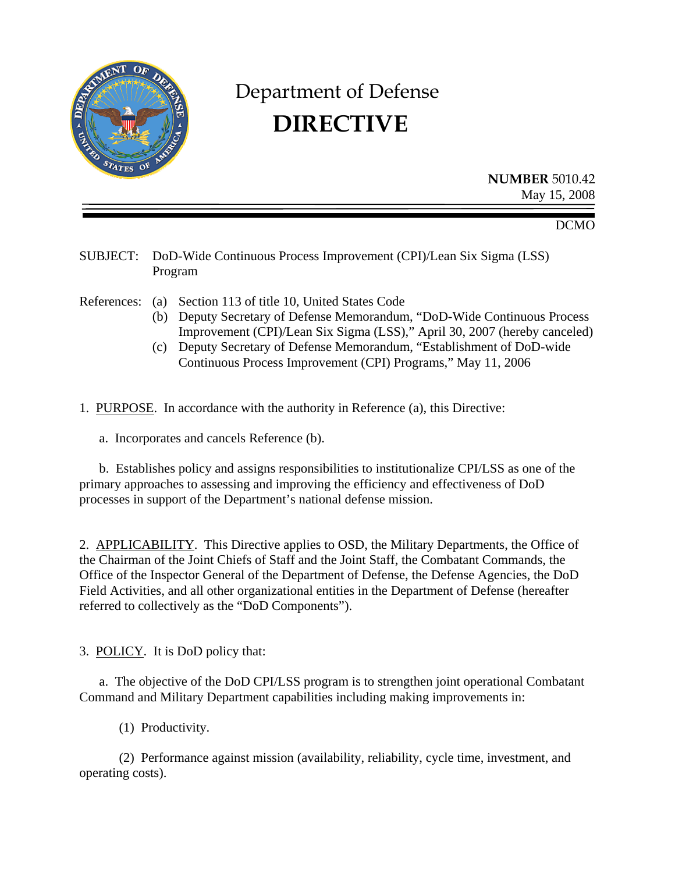

## Department of Defense **DIRECTIVE**

**NUMBER** 5010.42 May 15, 2008

DCMO

SUBJECT: DoD-Wide Continuous Process Improvement (CPI)/Lean Six Sigma (LSS) Program

References: (a) Section 113 of title 10, United States Code

- (b) Deputy Secretary of Defense Memorandum, "DoD-Wide Continuous Process Improvement (CPI)/Lean Six Sigma (LSS)," April 30, 2007 (hereby canceled)
- (c) Deputy Secretary of Defense Memorandum, "Establishment of DoD-wide Continuous Process Improvement (CPI) Programs," May 11, 2006

1. PURPOSE. In accordance with the authority in Reference (a), this Directive:

a. Incorporates and cancels Reference (b).

 b. Establishes policy and assigns responsibilities to institutionalize CPI/LSS as one of the primary approaches to assessing and improving the efficiency and effectiveness of DoD processes in support of the Department's national defense mission.

2. APPLICABILITY. This Directive applies to OSD, the Military Departments, the Office of the Chairman of the Joint Chiefs of Staff and the Joint Staff, the Combatant Commands, the Office of the Inspector General of the Department of Defense, the Defense Agencies, the DoD Field Activities, and all other organizational entities in the Department of Defense (hereafter referred to collectively as the "DoD Components").

3. POLICY. It is DoD policy that:

 a. The objective of the DoD CPI/LSS program is to strengthen joint operational Combatant Command and Military Department capabilities including making improvements in:

(1) Productivity.

 (2) Performance against mission (availability, reliability, cycle time, investment, and operating costs).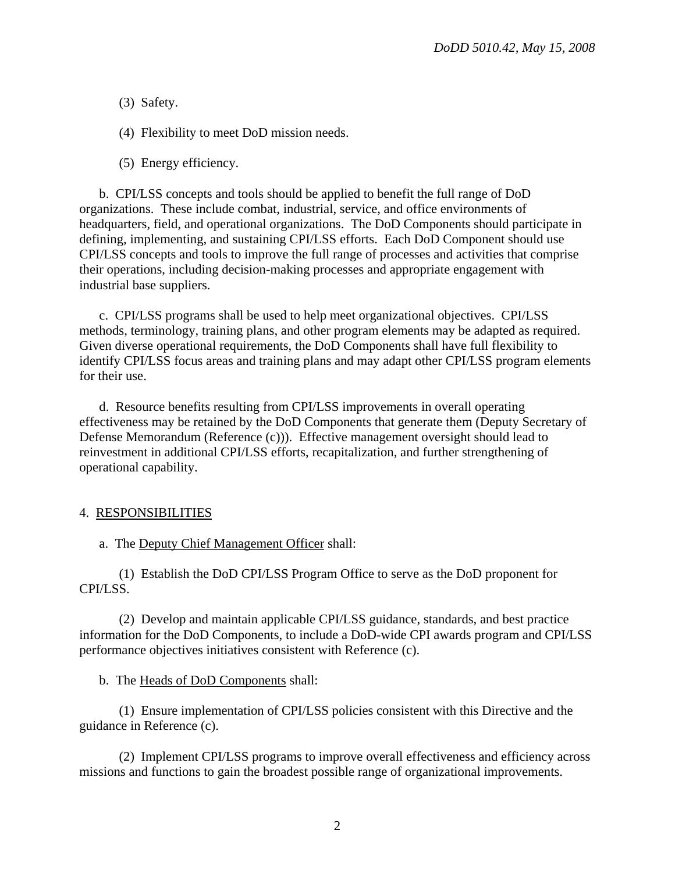(3) Safety.

(4) Flexibility to meet DoD mission needs.

(5) Energy efficiency.

 b. CPI/LSS concepts and tools should be applied to benefit the full range of DoD organizations. These include combat, industrial, service, and office environments of headquarters, field, and operational organizations. The DoD Components should participate in defining, implementing, and sustaining CPI/LSS efforts. Each DoD Component should use CPI/LSS concepts and tools to improve the full range of processes and activities that comprise their operations, including decision-making processes and appropriate engagement with industrial base suppliers.

 c. CPI/LSS programs shall be used to help meet organizational objectives. CPI/LSS methods, terminology, training plans, and other program elements may be adapted as required. Given diverse operational requirements, the DoD Components shall have full flexibility to identify CPI/LSS focus areas and training plans and may adapt other CPI/LSS program elements for their use.

 d. Resource benefits resulting from CPI/LSS improvements in overall operating effectiveness may be retained by the DoD Components that generate them (Deputy Secretary of Defense Memorandum (Reference (c))). Effective management oversight should lead to reinvestment in additional CPI/LSS efforts, recapitalization, and further strengthening of operational capability.

## 4. RESPONSIBILITIES

a. The Deputy Chief Management Officer shall:

 (1) Establish the DoD CPI/LSS Program Office to serve as the DoD proponent for CPI/LSS.

 (2) Develop and maintain applicable CPI/LSS guidance, standards, and best practice information for the DoD Components, to include a DoD-wide CPI awards program and CPI/LSS performance objectives initiatives consistent with Reference (c).

b. The Heads of DoD Components shall:

 (1) Ensure implementation of CPI/LSS policies consistent with this Directive and the guidance in Reference (c).

 (2) Implement CPI/LSS programs to improve overall effectiveness and efficiency across missions and functions to gain the broadest possible range of organizational improvements.